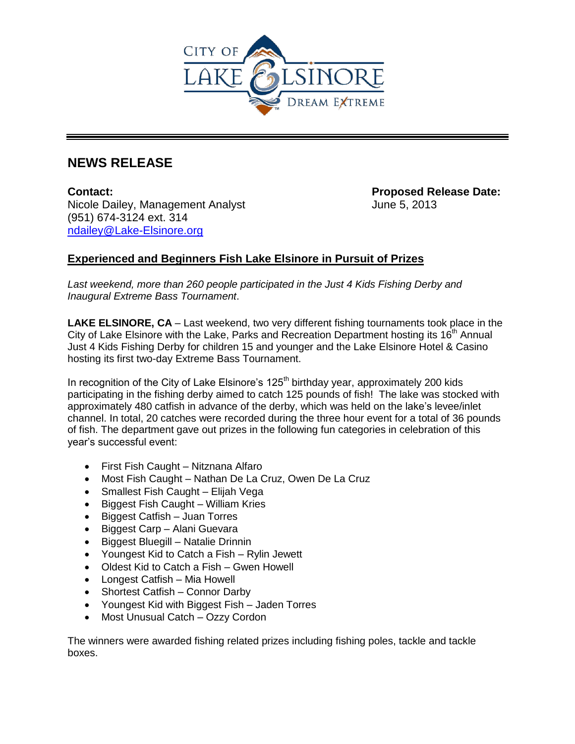

## **NEWS RELEASE**

**Contact: Proposed Release Date:**  Nicole Dailey, Management Analyst June 5, 2013 (951) 674-3124 ext. 314 [ndailey@Lake-Elsinore.org](mailto:ndailey@Lake-Elsinore.org)

## **Experienced and Beginners Fish Lake Elsinore in Pursuit of Prizes**

Last weekend, more than 260 people participated in the Just 4 Kids Fishing Derby and *Inaugural Extreme Bass Tournament*.

**LAKE ELSINORE, CA** – Last weekend, two very different fishing tournaments took place in the City of Lake Elsinore with the Lake, Parks and Recreation Department hosting its  $16<sup>th</sup>$  Annual Just 4 Kids Fishing Derby for children 15 and younger and the Lake Elsinore Hotel & Casino hosting its first two-day Extreme Bass Tournament.

In recognition of the City of Lake Elsinore's 125<sup>th</sup> birthday year, approximately 200 kids participating in the fishing derby aimed to catch 125 pounds of fish! The lake was stocked with approximately 480 catfish in advance of the derby, which was held on the lake's levee/inlet channel. In total, 20 catches were recorded during the three hour event for a total of 36 pounds of fish. The department gave out prizes in the following fun categories in celebration of this year's successful event:

- First Fish Caught Nitznana Alfaro
- Most Fish Caught Nathan De La Cruz, Owen De La Cruz
- Smallest Fish Caught Elijah Vega
- Biggest Fish Caught William Kries
- Biggest Catfish Juan Torres
- Biggest Carp Alani Guevara
- Biggest Bluegill Natalie Drinnin
- Youngest Kid to Catch a Fish Rylin Jewett
- Oldest Kid to Catch a Fish Gwen Howell
- Longest Catfish Mia Howell
- Shortest Catfish Connor Darby
- Youngest Kid with Biggest Fish Jaden Torres
- Most Unusual Catch Ozzy Cordon

The winners were awarded fishing related prizes including fishing poles, tackle and tackle boxes.